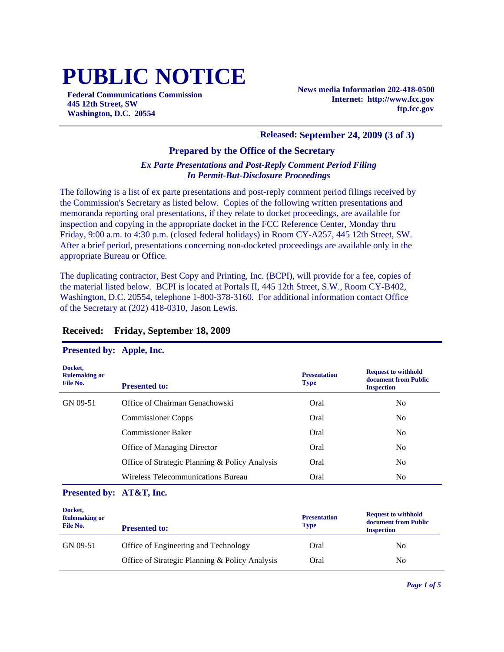# **PUBLIC NOTICE**

**Federal Communications Commission 445 12th Street, SW Washington, D.C. 20554**

**News media Information 202-418-0500 Internet: http://www.fcc.gov ftp.fcc.gov**

#### **Released: September 24, 2009 (3 of 3)**

#### **Prepared by the Office of the Secretary**

#### *Ex Parte Presentations and Post-Reply Comment Period Filing In Permit-But-Disclosure Proceedings*

The following is a list of ex parte presentations and post-reply comment period filings received by the Commission's Secretary as listed below. Copies of the following written presentations and memoranda reporting oral presentations, if they relate to docket proceedings, are available for inspection and copying in the appropriate docket in the FCC Reference Center, Monday thru Friday, 9:00 a.m. to 4:30 p.m. (closed federal holidays) in Room CY-A257, 445 12th Street, SW. After a brief period, presentations concerning non-docketed proceedings are available only in the appropriate Bureau or Office.

The duplicating contractor, Best Copy and Printing, Inc. (BCPI), will provide for a fee, copies of the material listed below. BCPI is located at Portals II, 445 12th Street, S.W., Room CY-B402, Washington, D.C. 20554, telephone 1-800-378-3160. For additional information contact Office of the Secretary at (202) 418-0310, Jason Lewis.

| Presented by: Apple, Inc.                   |                                                |                                    |                                                                         |
|---------------------------------------------|------------------------------------------------|------------------------------------|-------------------------------------------------------------------------|
| Docket,<br><b>Rulemaking or</b><br>File No. | <b>Presented to:</b>                           | <b>Presentation</b><br><b>Type</b> | <b>Request to withhold</b><br>document from Public<br><b>Inspection</b> |
| GN 09-51                                    | Office of Chairman Genachowski                 | Oral                               | N <sub>0</sub>                                                          |
|                                             | <b>Commissioner Copps</b>                      | Oral                               | N <sub>0</sub>                                                          |
|                                             | <b>Commissioner Baker</b>                      | Oral                               | N <sub>0</sub>                                                          |
|                                             | <b>Office of Managing Director</b>             | Oral                               | N <sub>0</sub>                                                          |
|                                             | Office of Strategic Planning & Policy Analysis | Oral                               | N <sub>0</sub>                                                          |
|                                             | Wireless Telecommunications Bureau             | Oral                               | N <sub>0</sub>                                                          |

#### **Received: Friday, September 18, 2009**

#### **Presented by: AT&T, Inc.**

| Docket,<br><b>Rulemaking or</b><br>File No. | <b>Presented to:</b>                           | <b>Presentation</b><br><b>Type</b> | <b>Request to withhold</b><br>document from Public<br><b>Inspection</b> |
|---------------------------------------------|------------------------------------------------|------------------------------------|-------------------------------------------------------------------------|
| GN 09-51                                    | Office of Engineering and Technology           | Oral                               | No                                                                      |
|                                             | Office of Strategic Planning & Policy Analysis | Oral                               | No                                                                      |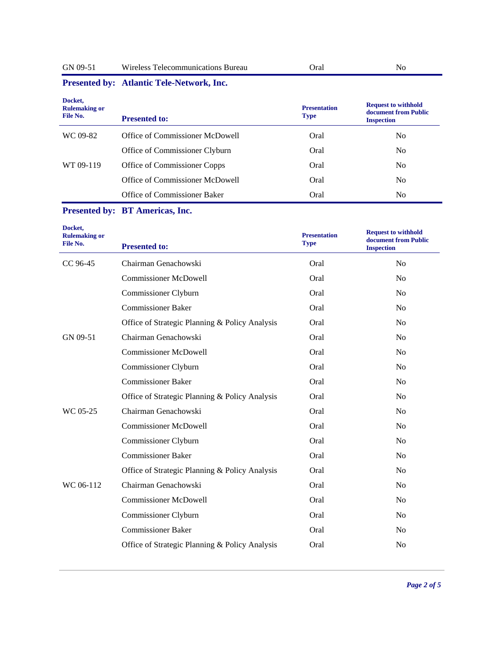| GN 09-51 | Wireless Telecommunications Bureau | Oral |  |
|----------|------------------------------------|------|--|
|          |                                    |      |  |

# **Presented by: Atlantic Tele-Network, Inc.**

| Docket,<br><b>Rulemaking or</b><br>File No. | <b>Presented to:</b>            | <b>Presentation</b><br><b>Type</b> | <b>Request to withhold</b><br>document from Public<br><b>Inspection</b> |
|---------------------------------------------|---------------------------------|------------------------------------|-------------------------------------------------------------------------|
| WC 09-82                                    | Office of Commissioner McDowell | Oral                               | N <sub>0</sub>                                                          |
|                                             | Office of Commissioner Clyburn  | Oral                               | N <sub>0</sub>                                                          |
| WT 09-119                                   | Office of Commissioner Copps    | Oral                               | N <sub>0</sub>                                                          |
|                                             | Office of Commissioner McDowell | Oral                               | N <sub>0</sub>                                                          |
|                                             | Office of Commissioner Baker    | Oral                               | N <sub>0</sub>                                                          |

### **Presented by: BT Americas, Inc.**

| Docket,<br><b>Rulemaking or</b><br>File No. | <b>Presented to:</b>                           | <b>Presentation</b><br><b>Type</b> | <b>Request to withhold</b><br>document from Public<br><b>Inspection</b> |
|---------------------------------------------|------------------------------------------------|------------------------------------|-------------------------------------------------------------------------|
| CC 96-45                                    | Chairman Genachowski                           | Oral                               | No                                                                      |
|                                             | <b>Commissioner McDowell</b>                   | Oral                               | N <sub>o</sub>                                                          |
|                                             | Commissioner Clyburn                           | Oral                               | No                                                                      |
|                                             | <b>Commissioner Baker</b>                      | Oral                               | No                                                                      |
|                                             | Office of Strategic Planning & Policy Analysis | Oral                               | N <sub>o</sub>                                                          |
| GN 09-51                                    | Chairman Genachowski                           | Oral                               | N <sub>o</sub>                                                          |
|                                             | <b>Commissioner McDowell</b>                   | Oral                               | N <sub>o</sub>                                                          |
|                                             | Commissioner Clyburn                           | Oral                               | N <sub>o</sub>                                                          |
|                                             | <b>Commissioner Baker</b>                      | Oral                               | N <sub>o</sub>                                                          |
|                                             | Office of Strategic Planning & Policy Analysis | Oral                               | No                                                                      |
| WC 05-25                                    | Chairman Genachowski                           | Oral                               | N <sub>o</sub>                                                          |
|                                             | <b>Commissioner McDowell</b>                   | Oral                               | N <sub>o</sub>                                                          |
|                                             | Commissioner Clyburn                           | Oral                               | N <sub>0</sub>                                                          |
|                                             | <b>Commissioner Baker</b>                      | Oral                               | N <sub>o</sub>                                                          |
|                                             | Office of Strategic Planning & Policy Analysis | Oral                               | N <sub>o</sub>                                                          |
| WC 06-112                                   | Chairman Genachowski                           | Oral                               | No                                                                      |
|                                             | <b>Commissioner McDowell</b>                   | Oral                               | N <sub>o</sub>                                                          |
|                                             | Commissioner Clyburn                           | Oral                               | N <sub>o</sub>                                                          |
|                                             | <b>Commissioner Baker</b>                      | Oral                               | N <sub>o</sub>                                                          |
|                                             | Office of Strategic Planning & Policy Analysis | Oral                               | N <sub>o</sub>                                                          |
|                                             |                                                |                                    |                                                                         |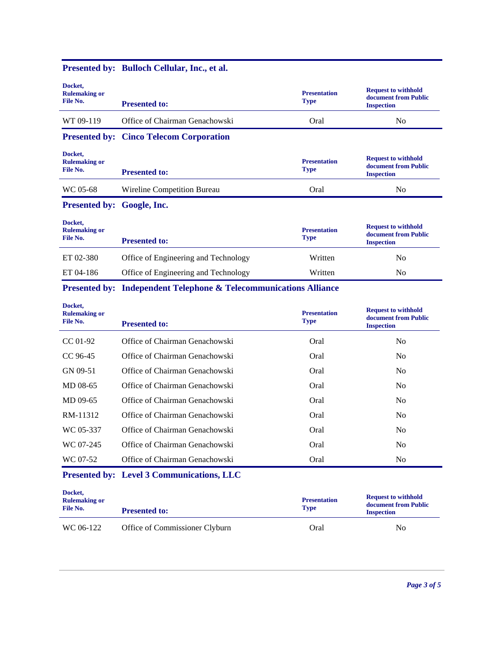| Docket,<br><b>Rulemaking or</b><br>File No. | <b>Presented to:</b>           | <b>Presentation</b><br><b>Type</b> | <b>Request to withhold</b><br>document from Public<br><b>Inspection</b> |
|---------------------------------------------|--------------------------------|------------------------------------|-------------------------------------------------------------------------|
| WT 09-119                                   | Office of Chairman Genachowski | Oral                               | No                                                                      |

#### **Presented by: Bulloch Cellular, Inc., et al.**

#### **Presented by: Cinco Telecom Corporation**

| Docket,<br><b>Rulemaking or</b><br>File No. | <b>Presented to:</b>        | <b>Presentation</b><br><b>Type</b> | <b>Request to withhold</b><br>document from Public<br><b>Inspection</b> |
|---------------------------------------------|-----------------------------|------------------------------------|-------------------------------------------------------------------------|
| WC 05-68                                    | Wireline Competition Bureau | Oral                               | No                                                                      |

#### **Presented by: Google, Inc.**

| Docket,<br><b>Rulemaking or</b><br>File No. | <b>Presented to:</b>                 | <b>Presentation</b><br><b>Type</b> | <b>Request to withhold</b><br>document from Public<br><b>Inspection</b> |
|---------------------------------------------|--------------------------------------|------------------------------------|-------------------------------------------------------------------------|
| ET 02-380                                   | Office of Engineering and Technology | Written                            | N <sub>0</sub>                                                          |
| ET 04-186                                   | Office of Engineering and Technology | Written                            | No                                                                      |

#### **Presented by: Independent Telephone & Telecommunications Alliance**

| Docket,<br><b>Rulemaking or</b><br>File No. | <b>Presented to:</b>           | <b>Presentation</b><br><b>Type</b> | <b>Request to withhold</b><br>document from Public<br><b>Inspection</b> |
|---------------------------------------------|--------------------------------|------------------------------------|-------------------------------------------------------------------------|
| $CC 01-92$                                  | Office of Chairman Genachowski | Oral                               | N <sub>o</sub>                                                          |
| CC 96-45                                    | Office of Chairman Genachowski | Oral                               | N <sub>0</sub>                                                          |
| GN 09-51                                    | Office of Chairman Genachowski | Oral                               | N <sub>o</sub>                                                          |
| MD 08-65                                    | Office of Chairman Genachowski | Oral                               | N <sub>0</sub>                                                          |
| MD 09-65                                    | Office of Chairman Genachowski | Oral                               | N <sub>0</sub>                                                          |
| RM-11312                                    | Office of Chairman Genachowski | Oral                               | N <sub>0</sub>                                                          |
| WC 05-337                                   | Office of Chairman Genachowski | Oral                               | N <sub>0</sub>                                                          |
| WC 07-245                                   | Office of Chairman Genachowski | Oral                               | N <sub>o</sub>                                                          |
| WC 07-52                                    | Office of Chairman Genachowski | Oral                               | N <sub>0</sub>                                                          |

#### **Presented by: Level 3 Communications, LLC**

| Docket,<br><b>Rulemaking or</b><br>File No. | <b>Presented to:</b>           | <b>Presentation</b><br><b>Type</b> | <b>Request to withhold</b><br>document from Public<br><b>Inspection</b> |
|---------------------------------------------|--------------------------------|------------------------------------|-------------------------------------------------------------------------|
| WC 06-122                                   | Office of Commissioner Clyburn | Oral                               | No                                                                      |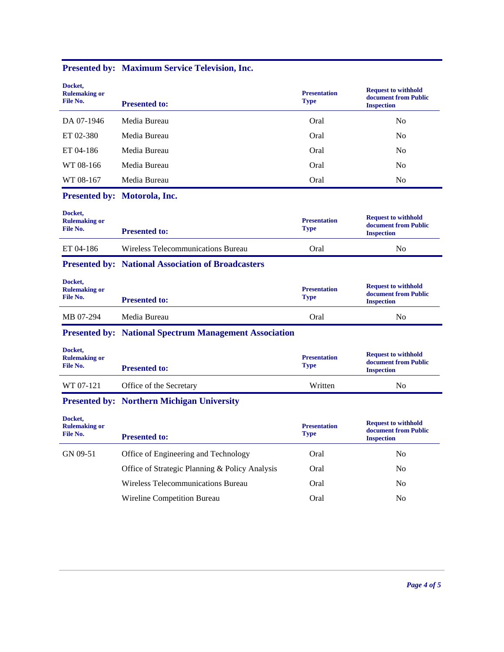| Docket,<br><b>Rulemaking or</b><br>File No. | <b>Presented to:</b>                                          | <b>Presentation</b><br><b>Type</b> | <b>Request to withhold</b><br>document from Public<br><b>Inspection</b> |
|---------------------------------------------|---------------------------------------------------------------|------------------------------------|-------------------------------------------------------------------------|
| DA 07-1946                                  | Media Bureau                                                  | Oral                               | No                                                                      |
| ET 02-380                                   | Media Bureau                                                  | Oral                               | N <sub>0</sub>                                                          |
| ET 04-186                                   | Media Bureau                                                  | Oral                               | N <sub>0</sub>                                                          |
| WT 08-166                                   | Media Bureau                                                  | Oral                               | No                                                                      |
| WT 08-167                                   | Media Bureau                                                  | Oral                               | N <sub>0</sub>                                                          |
|                                             | Presented by: Motorola, Inc.                                  |                                    |                                                                         |
| Docket,<br><b>Rulemaking or</b><br>File No. | <b>Presented to:</b>                                          | <b>Presentation</b><br><b>Type</b> | <b>Request to withhold</b><br>document from Public<br><b>Inspection</b> |
| ET 04-186                                   | Wireless Telecommunications Bureau                            | Oral                               | N <sub>0</sub>                                                          |
|                                             | <b>Presented by: National Association of Broadcasters</b>     |                                    |                                                                         |
| Docket,<br><b>Rulemaking or</b><br>File No. | <b>Presented to:</b>                                          | <b>Presentation</b><br><b>Type</b> | <b>Request to withhold</b><br>document from Public<br><b>Inspection</b> |
| MB 07-294                                   | Media Bureau                                                  | Oral                               | N <sub>0</sub>                                                          |
|                                             | <b>Presented by: National Spectrum Management Association</b> |                                    |                                                                         |
| Docket,<br><b>Rulemaking or</b><br>File No. | <b>Presented to:</b>                                          | <b>Presentation</b><br><b>Type</b> | <b>Request to withhold</b><br>document from Public<br><b>Inspection</b> |
| WT 07-121                                   | Office of the Secretary                                       | Written                            | N <sub>0</sub>                                                          |
|                                             | <b>Presented by: Northern Michigan University</b>             |                                    |                                                                         |
| Docket.<br><b>Rulemaking or</b><br>File No. | <b>Presented to:</b>                                          | <b>Presentation</b><br><b>Type</b> | <b>Request to withhold</b><br>document from Public<br><b>Inspection</b> |
| GN 09-51                                    | Office of Engineering and Technology                          | Oral                               | No                                                                      |
|                                             | Office of Strategic Planning & Policy Analysis                | Oral                               | N <sub>0</sub>                                                          |
|                                             | <b>Wireless Telecommunications Bureau</b>                     | Oral                               | No                                                                      |
|                                             | Wireline Competition Bureau                                   | Oral                               | N <sub>0</sub>                                                          |
|                                             |                                                               |                                    |                                                                         |

# **Presented by: Maximum Service Television, Inc.**